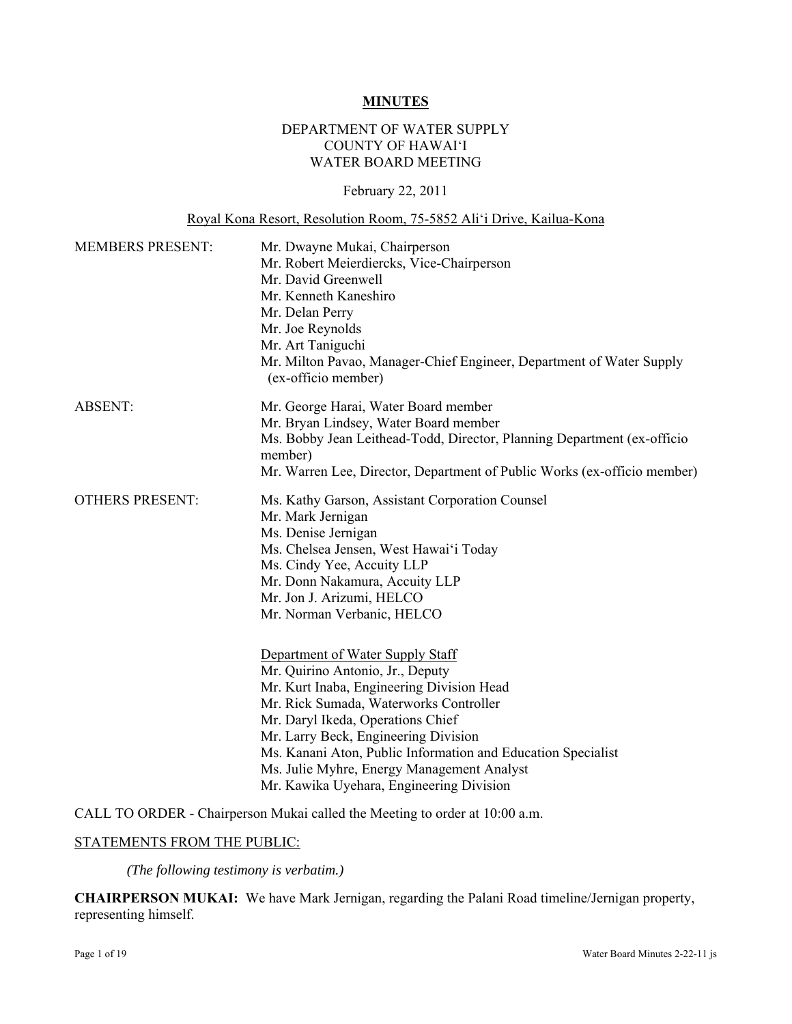#### **MINUTES**

## DEPARTMENT OF WATER SUPPLY COUNTY OF HAWAI'I WATER BOARD MEETING

February 22, 2011

#### Royal Kona Resort, Resolution Room, 75-5852 Ali'i Drive, Kailua-Kona

| <b>MEMBERS PRESENT:</b> | Mr. Dwayne Mukai, Chairperson<br>Mr. Robert Meierdiercks, Vice-Chairperson<br>Mr. David Greenwell<br>Mr. Kenneth Kaneshiro<br>Mr. Delan Perry<br>Mr. Joe Reynolds<br>Mr. Art Taniguchi<br>Mr. Milton Pavao, Manager-Chief Engineer, Department of Water Supply                                                                                                                                     |  |  |
|-------------------------|----------------------------------------------------------------------------------------------------------------------------------------------------------------------------------------------------------------------------------------------------------------------------------------------------------------------------------------------------------------------------------------------------|--|--|
|                         | (ex-officio member)                                                                                                                                                                                                                                                                                                                                                                                |  |  |
| <b>ABSENT:</b>          | Mr. George Harai, Water Board member<br>Mr. Bryan Lindsey, Water Board member<br>Ms. Bobby Jean Leithead-Todd, Director, Planning Department (ex-officio<br>member)<br>Mr. Warren Lee, Director, Department of Public Works (ex-officio member)                                                                                                                                                    |  |  |
| <b>OTHERS PRESENT:</b>  | Ms. Kathy Garson, Assistant Corporation Counsel<br>Mr. Mark Jernigan<br>Ms. Denise Jernigan<br>Ms. Chelsea Jensen, West Hawai'i Today<br>Ms. Cindy Yee, Accuity LLP<br>Mr. Donn Nakamura, Accuity LLP<br>Mr. Jon J. Arizumi, HELCO<br>Mr. Norman Verbanic, HELCO                                                                                                                                   |  |  |
|                         | Department of Water Supply Staff<br>Mr. Quirino Antonio, Jr., Deputy<br>Mr. Kurt Inaba, Engineering Division Head<br>Mr. Rick Sumada, Waterworks Controller<br>Mr. Daryl Ikeda, Operations Chief<br>Mr. Larry Beck, Engineering Division<br>Ms. Kanani Aton, Public Information and Education Specialist<br>Ms. Julie Myhre, Energy Management Analyst<br>Mr. Kawika Uyehara, Engineering Division |  |  |

CALL TO ORDER - Chairperson Mukai called the Meeting to order at 10:00 a.m.

#### STATEMENTS FROM THE PUBLIC:

*(The following testimony is verbatim.)* 

**CHAIRPERSON MUKAI:** We have Mark Jernigan, regarding the Palani Road timeline/Jernigan property, representing himself.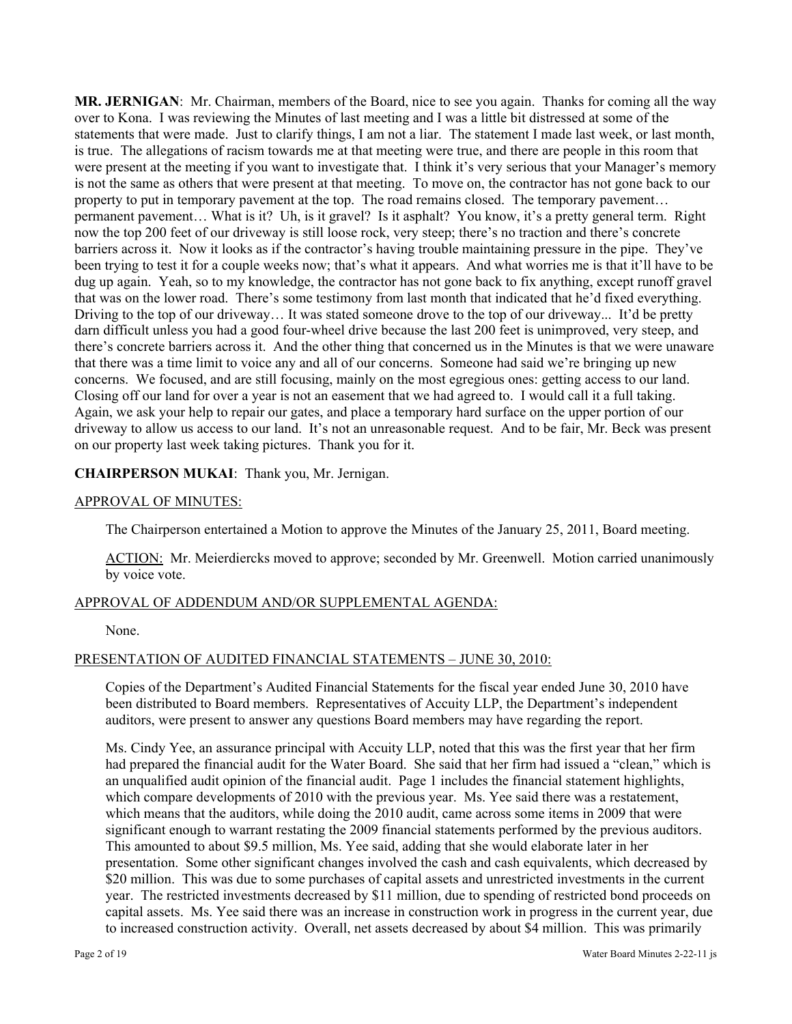**MR. JERNIGAN**: Mr. Chairman, members of the Board, nice to see you again. Thanks for coming all the way over to Kona. I was reviewing the Minutes of last meeting and I was a little bit distressed at some of the statements that were made. Just to clarify things, I am not a liar. The statement I made last week, or last month, is true. The allegations of racism towards me at that meeting were true, and there are people in this room that were present at the meeting if you want to investigate that. I think it's very serious that your Manager's memory is not the same as others that were present at that meeting. To move on, the contractor has not gone back to our property to put in temporary pavement at the top. The road remains closed. The temporary pavement… permanent pavement… What is it? Uh, is it gravel? Is it asphalt? You know, it's a pretty general term. Right now the top 200 feet of our driveway is still loose rock, very steep; there's no traction and there's concrete barriers across it. Now it looks as if the contractor's having trouble maintaining pressure in the pipe. They've been trying to test it for a couple weeks now; that's what it appears. And what worries me is that it'll have to be dug up again. Yeah, so to my knowledge, the contractor has not gone back to fix anything, except runoff gravel that was on the lower road. There's some testimony from last month that indicated that he'd fixed everything. Driving to the top of our driveway… It was stated someone drove to the top of our driveway... It'd be pretty darn difficult unless you had a good four-wheel drive because the last 200 feet is unimproved, very steep, and there's concrete barriers across it. And the other thing that concerned us in the Minutes is that we were unaware that there was a time limit to voice any and all of our concerns. Someone had said we're bringing up new concerns. We focused, and are still focusing, mainly on the most egregious ones: getting access to our land. Closing off our land for over a year is not an easement that we had agreed to. I would call it a full taking. Again, we ask your help to repair our gates, and place a temporary hard surface on the upper portion of our driveway to allow us access to our land. It's not an unreasonable request. And to be fair, Mr. Beck was present on our property last week taking pictures. Thank you for it.

## **CHAIRPERSON MUKAI**: Thank you, Mr. Jernigan.

# APPROVAL OF MINUTES:

The Chairperson entertained a Motion to approve the Minutes of the January 25, 2011, Board meeting.

ACTION: Mr. Meierdiercks moved to approve; seconded by Mr. Greenwell. Motion carried unanimously by voice vote.

## APPROVAL OF ADDENDUM AND/OR SUPPLEMENTAL AGENDA:

None.

# PRESENTATION OF AUDITED FINANCIAL STATEMENTS – JUNE 30, 2010:

Copies of the Department's Audited Financial Statements for the fiscal year ended June 30, 2010 have been distributed to Board members. Representatives of Accuity LLP, the Department's independent auditors, were present to answer any questions Board members may have regarding the report.

Ms. Cindy Yee, an assurance principal with Accuity LLP, noted that this was the first year that her firm had prepared the financial audit for the Water Board. She said that her firm had issued a "clean," which is an unqualified audit opinion of the financial audit. Page 1 includes the financial statement highlights, which compare developments of 2010 with the previous year. Ms. Yee said there was a restatement, which means that the auditors, while doing the 2010 audit, came across some items in 2009 that were significant enough to warrant restating the 2009 financial statements performed by the previous auditors. This amounted to about \$9.5 million, Ms. Yee said, adding that she would elaborate later in her presentation. Some other significant changes involved the cash and cash equivalents, which decreased by \$20 million. This was due to some purchases of capital assets and unrestricted investments in the current year. The restricted investments decreased by \$11 million, due to spending of restricted bond proceeds on capital assets. Ms. Yee said there was an increase in construction work in progress in the current year, due to increased construction activity. Overall, net assets decreased by about \$4 million. This was primarily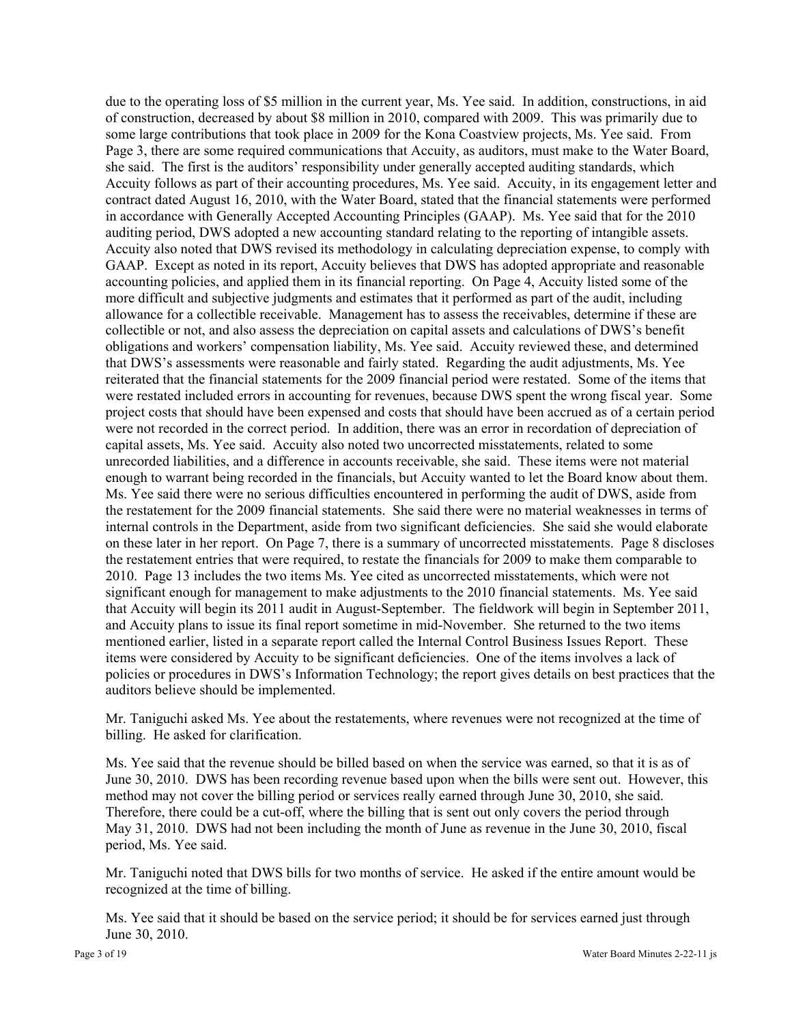due to the operating loss of \$5 million in the current year, Ms. Yee said. In addition, constructions, in aid of construction, decreased by about \$8 million in 2010, compared with 2009. This was primarily due to some large contributions that took place in 2009 for the Kona Coastview projects, Ms. Yee said. From Page 3, there are some required communications that Accuity, as auditors, must make to the Water Board, she said. The first is the auditors' responsibility under generally accepted auditing standards, which Accuity follows as part of their accounting procedures, Ms. Yee said. Accuity, in its engagement letter and contract dated August 16, 2010, with the Water Board, stated that the financial statements were performed in accordance with Generally Accepted Accounting Principles (GAAP). Ms. Yee said that for the 2010 auditing period, DWS adopted a new accounting standard relating to the reporting of intangible assets. Accuity also noted that DWS revised its methodology in calculating depreciation expense, to comply with GAAP. Except as noted in its report, Accuity believes that DWS has adopted appropriate and reasonable accounting policies, and applied them in its financial reporting. On Page 4, Accuity listed some of the more difficult and subjective judgments and estimates that it performed as part of the audit, including allowance for a collectible receivable. Management has to assess the receivables, determine if these are collectible or not, and also assess the depreciation on capital assets and calculations of DWS's benefit obligations and workers' compensation liability, Ms. Yee said. Accuity reviewed these, and determined that DWS's assessments were reasonable and fairly stated. Regarding the audit adjustments, Ms. Yee reiterated that the financial statements for the 2009 financial period were restated. Some of the items that were restated included errors in accounting for revenues, because DWS spent the wrong fiscal year. Some project costs that should have been expensed and costs that should have been accrued as of a certain period were not recorded in the correct period. In addition, there was an error in recordation of depreciation of capital assets, Ms. Yee said. Accuity also noted two uncorrected misstatements, related to some unrecorded liabilities, and a difference in accounts receivable, she said. These items were not material enough to warrant being recorded in the financials, but Accuity wanted to let the Board know about them. Ms. Yee said there were no serious difficulties encountered in performing the audit of DWS, aside from the restatement for the 2009 financial statements. She said there were no material weaknesses in terms of internal controls in the Department, aside from two significant deficiencies. She said she would elaborate on these later in her report. On Page 7, there is a summary of uncorrected misstatements. Page 8 discloses the restatement entries that were required, to restate the financials for 2009 to make them comparable to 2010. Page 13 includes the two items Ms. Yee cited as uncorrected misstatements, which were not significant enough for management to make adjustments to the 2010 financial statements. Ms. Yee said that Accuity will begin its 2011 audit in August-September. The fieldwork will begin in September 2011, and Accuity plans to issue its final report sometime in mid-November. She returned to the two items mentioned earlier, listed in a separate report called the Internal Control Business Issues Report. These items were considered by Accuity to be significant deficiencies. One of the items involves a lack of policies or procedures in DWS's Information Technology; the report gives details on best practices that the auditors believe should be implemented.

Mr. Taniguchi asked Ms. Yee about the restatements, where revenues were not recognized at the time of billing. He asked for clarification.

Ms. Yee said that the revenue should be billed based on when the service was earned, so that it is as of June 30, 2010. DWS has been recording revenue based upon when the bills were sent out. However, this method may not cover the billing period or services really earned through June 30, 2010, she said. Therefore, there could be a cut-off, where the billing that is sent out only covers the period through May 31, 2010. DWS had not been including the month of June as revenue in the June 30, 2010, fiscal period, Ms. Yee said.

Mr. Taniguchi noted that DWS bills for two months of service. He asked if the entire amount would be recognized at the time of billing.

Ms. Yee said that it should be based on the service period; it should be for services earned just through June 30, 2010.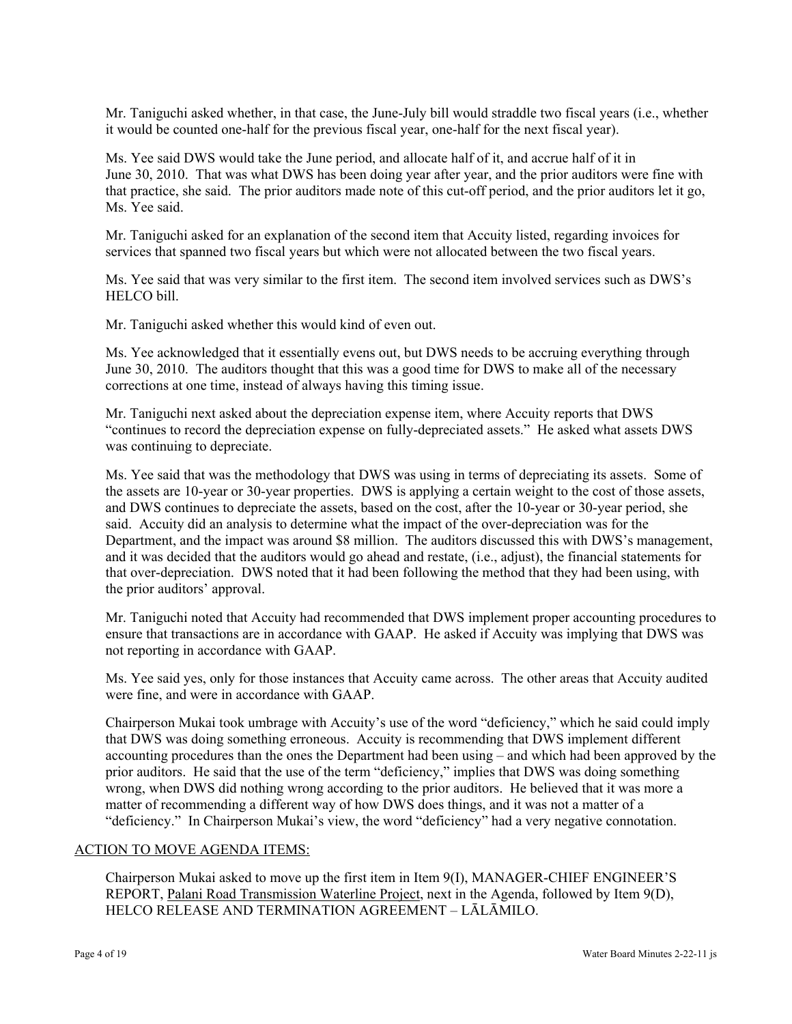Mr. Taniguchi asked whether, in that case, the June-July bill would straddle two fiscal years (i.e., whether it would be counted one-half for the previous fiscal year, one-half for the next fiscal year).

Ms. Yee said DWS would take the June period, and allocate half of it, and accrue half of it in June 30, 2010. That was what DWS has been doing year after year, and the prior auditors were fine with that practice, she said. The prior auditors made note of this cut-off period, and the prior auditors let it go, Ms. Yee said.

Mr. Taniguchi asked for an explanation of the second item that Accuity listed, regarding invoices for services that spanned two fiscal years but which were not allocated between the two fiscal years.

Ms. Yee said that was very similar to the first item. The second item involved services such as DWS's HELCO bill.

Mr. Taniguchi asked whether this would kind of even out.

Ms. Yee acknowledged that it essentially evens out, but DWS needs to be accruing everything through June 30, 2010. The auditors thought that this was a good time for DWS to make all of the necessary corrections at one time, instead of always having this timing issue.

Mr. Taniguchi next asked about the depreciation expense item, where Accuity reports that DWS "continues to record the depreciation expense on fully-depreciated assets." He asked what assets DWS was continuing to depreciate.

Ms. Yee said that was the methodology that DWS was using in terms of depreciating its assets. Some of the assets are 10-year or 30-year properties. DWS is applying a certain weight to the cost of those assets, and DWS continues to depreciate the assets, based on the cost, after the 10-year or 30-year period, she said. Accuity did an analysis to determine what the impact of the over-depreciation was for the Department, and the impact was around \$8 million. The auditors discussed this with DWS's management, and it was decided that the auditors would go ahead and restate, (i.e., adjust), the financial statements for that over-depreciation. DWS noted that it had been following the method that they had been using, with the prior auditors' approval.

Mr. Taniguchi noted that Accuity had recommended that DWS implement proper accounting procedures to ensure that transactions are in accordance with GAAP. He asked if Accuity was implying that DWS was not reporting in accordance with GAAP.

Ms. Yee said yes, only for those instances that Accuity came across. The other areas that Accuity audited were fine, and were in accordance with GAAP.

Chairperson Mukai took umbrage with Accuity's use of the word "deficiency," which he said could imply that DWS was doing something erroneous. Accuity is recommending that DWS implement different accounting procedures than the ones the Department had been using – and which had been approved by the prior auditors. He said that the use of the term "deficiency," implies that DWS was doing something wrong, when DWS did nothing wrong according to the prior auditors. He believed that it was more a matter of recommending a different way of how DWS does things, and it was not a matter of a "deficiency." In Chairperson Mukai's view, the word "deficiency" had a very negative connotation.

## ACTION TO MOVE AGENDA ITEMS:

Chairperson Mukai asked to move up the first item in Item 9(I), MANAGER-CHIEF ENGINEER'S REPORT, Palani Road Transmission Waterline Project, next in the Agenda, followed by Item 9(D), HELCO RELEASE AND TERMINATION AGREEMENT – LĀLĀMILO.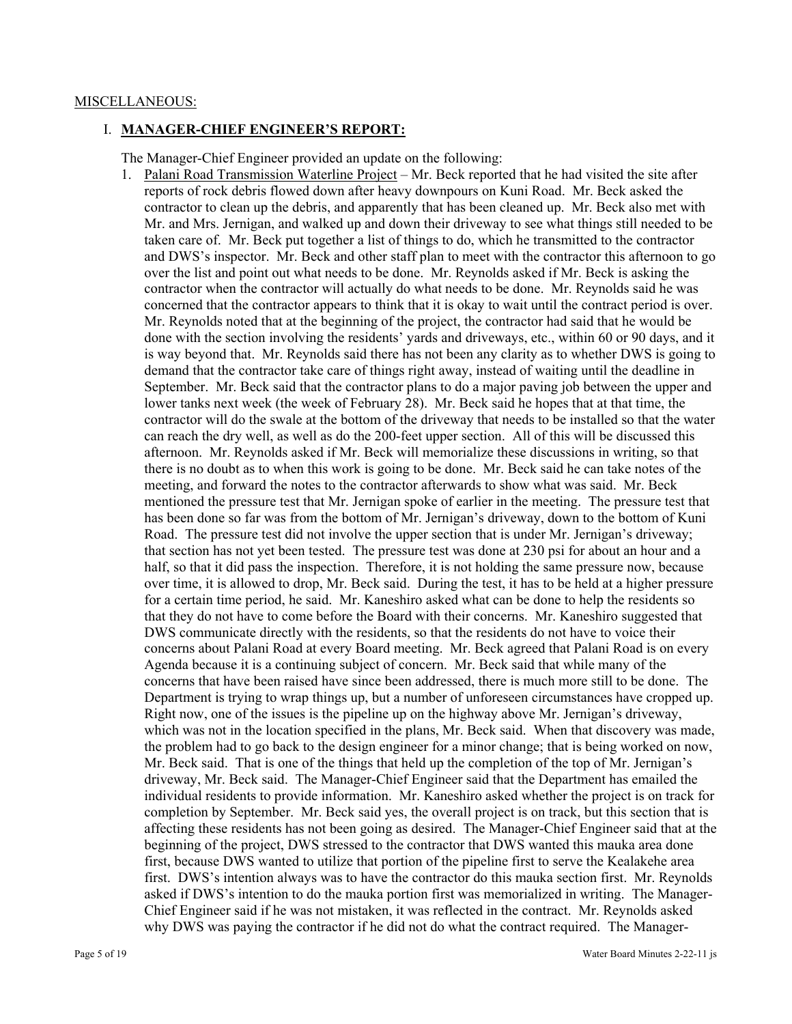#### MISCELLANEOUS:

#### I. **MANAGER-CHIEF ENGINEER'S REPORT:**

The Manager-Chief Engineer provided an update on the following:

1. Palani Road Transmission Waterline Project – Mr. Beck reported that he had visited the site after reports of rock debris flowed down after heavy downpours on Kuni Road. Mr. Beck asked the contractor to clean up the debris, and apparently that has been cleaned up. Mr. Beck also met with Mr. and Mrs. Jernigan, and walked up and down their driveway to see what things still needed to be taken care of. Mr. Beck put together a list of things to do, which he transmitted to the contractor and DWS's inspector. Mr. Beck and other staff plan to meet with the contractor this afternoon to go over the list and point out what needs to be done. Mr. Reynolds asked if Mr. Beck is asking the contractor when the contractor will actually do what needs to be done. Mr. Reynolds said he was concerned that the contractor appears to think that it is okay to wait until the contract period is over. Mr. Reynolds noted that at the beginning of the project, the contractor had said that he would be done with the section involving the residents' yards and driveways, etc., within 60 or 90 days, and it is way beyond that. Mr. Reynolds said there has not been any clarity as to whether DWS is going to demand that the contractor take care of things right away, instead of waiting until the deadline in September. Mr. Beck said that the contractor plans to do a major paving job between the upper and lower tanks next week (the week of February 28). Mr. Beck said he hopes that at that time, the contractor will do the swale at the bottom of the driveway that needs to be installed so that the water can reach the dry well, as well as do the 200-feet upper section. All of this will be discussed this afternoon. Mr. Reynolds asked if Mr. Beck will memorialize these discussions in writing, so that there is no doubt as to when this work is going to be done. Mr. Beck said he can take notes of the meeting, and forward the notes to the contractor afterwards to show what was said. Mr. Beck mentioned the pressure test that Mr. Jernigan spoke of earlier in the meeting. The pressure test that has been done so far was from the bottom of Mr. Jernigan's driveway, down to the bottom of Kuni Road. The pressure test did not involve the upper section that is under Mr. Jernigan's driveway; that section has not yet been tested. The pressure test was done at 230 psi for about an hour and a half, so that it did pass the inspection. Therefore, it is not holding the same pressure now, because over time, it is allowed to drop, Mr. Beck said. During the test, it has to be held at a higher pressure for a certain time period, he said. Mr. Kaneshiro asked what can be done to help the residents so that they do not have to come before the Board with their concerns. Mr. Kaneshiro suggested that DWS communicate directly with the residents, so that the residents do not have to voice their concerns about Palani Road at every Board meeting. Mr. Beck agreed that Palani Road is on every Agenda because it is a continuing subject of concern. Mr. Beck said that while many of the concerns that have been raised have since been addressed, there is much more still to be done. The Department is trying to wrap things up, but a number of unforeseen circumstances have cropped up. Right now, one of the issues is the pipeline up on the highway above Mr. Jernigan's driveway, which was not in the location specified in the plans, Mr. Beck said. When that discovery was made, the problem had to go back to the design engineer for a minor change; that is being worked on now, Mr. Beck said. That is one of the things that held up the completion of the top of Mr. Jernigan's driveway, Mr. Beck said. The Manager-Chief Engineer said that the Department has emailed the individual residents to provide information. Mr. Kaneshiro asked whether the project is on track for completion by September. Mr. Beck said yes, the overall project is on track, but this section that is affecting these residents has not been going as desired. The Manager-Chief Engineer said that at the beginning of the project, DWS stressed to the contractor that DWS wanted this mauka area done first, because DWS wanted to utilize that portion of the pipeline first to serve the Kealakehe area first. DWS's intention always was to have the contractor do this mauka section first. Mr. Reynolds asked if DWS's intention to do the mauka portion first was memorialized in writing. The Manager-Chief Engineer said if he was not mistaken, it was reflected in the contract. Mr. Reynolds asked why DWS was paying the contractor if he did not do what the contract required. The Manager-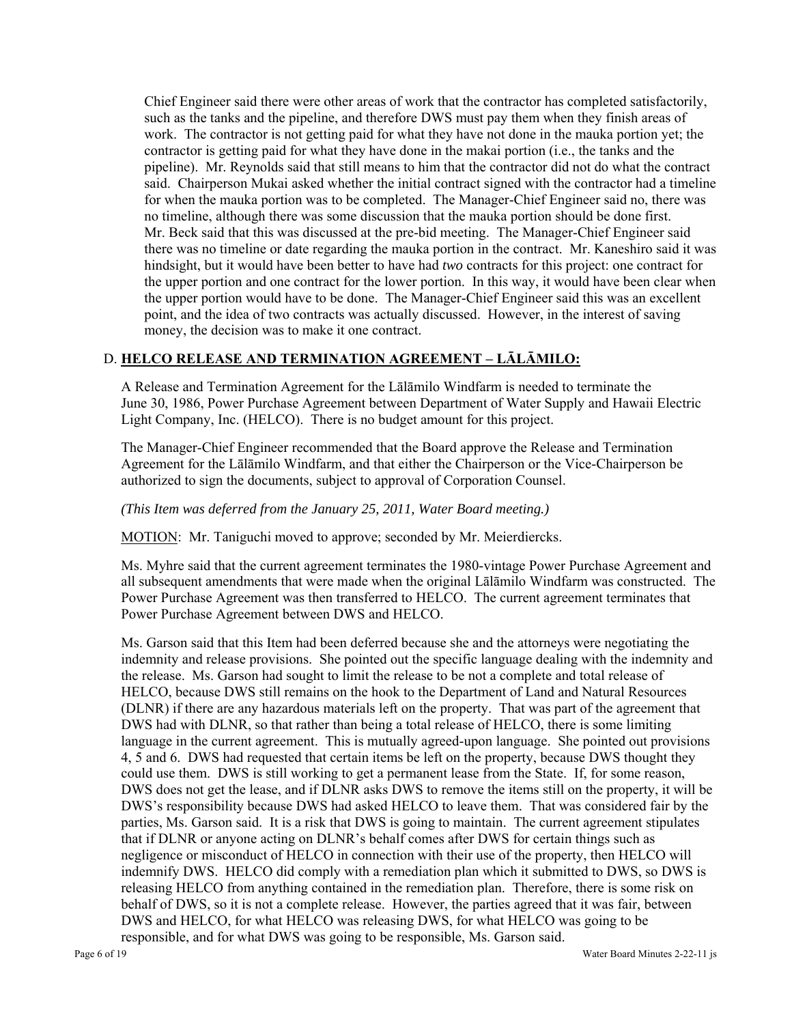Chief Engineer said there were other areas of work that the contractor has completed satisfactorily, such as the tanks and the pipeline, and therefore DWS must pay them when they finish areas of work. The contractor is not getting paid for what they have not done in the mauka portion yet; the contractor is getting paid for what they have done in the makai portion (i.e., the tanks and the pipeline). Mr. Reynolds said that still means to him that the contractor did not do what the contract said. Chairperson Mukai asked whether the initial contract signed with the contractor had a timeline for when the mauka portion was to be completed. The Manager-Chief Engineer said no, there was no timeline, although there was some discussion that the mauka portion should be done first. Mr. Beck said that this was discussed at the pre-bid meeting. The Manager-Chief Engineer said there was no timeline or date regarding the mauka portion in the contract. Mr. Kaneshiro said it was hindsight, but it would have been better to have had *two* contracts for this project: one contract for the upper portion and one contract for the lower portion. In this way, it would have been clear when the upper portion would have to be done. The Manager-Chief Engineer said this was an excellent point, and the idea of two contracts was actually discussed. However, in the interest of saving money, the decision was to make it one contract.

# D. **HELCO RELEASE AND TERMINATION AGREEMENT – LĀLĀMILO:**

A Release and Termination Agreement for the Lālāmilo Windfarm is needed to terminate the June 30, 1986, Power Purchase Agreement between Department of Water Supply and Hawaii Electric Light Company, Inc. (HELCO). There is no budget amount for this project.

The Manager-Chief Engineer recommended that the Board approve the Release and Termination Agreement for the Lālāmilo Windfarm, and that either the Chairperson or the Vice-Chairperson be authorized to sign the documents, subject to approval of Corporation Counsel.

## *(This Item was deferred from the January 25, 2011, Water Board meeting.)*

MOTION: Mr. Taniguchi moved to approve; seconded by Mr. Meierdiercks.

Ms. Myhre said that the current agreement terminates the 1980-vintage Power Purchase Agreement and all subsequent amendments that were made when the original Lālāmilo Windfarm was constructed. The Power Purchase Agreement was then transferred to HELCO. The current agreement terminates that Power Purchase Agreement between DWS and HELCO.

Ms. Garson said that this Item had been deferred because she and the attorneys were negotiating the indemnity and release provisions. She pointed out the specific language dealing with the indemnity and the release. Ms. Garson had sought to limit the release to be not a complete and total release of HELCO, because DWS still remains on the hook to the Department of Land and Natural Resources (DLNR) if there are any hazardous materials left on the property. That was part of the agreement that DWS had with DLNR, so that rather than being a total release of HELCO, there is some limiting language in the current agreement. This is mutually agreed-upon language. She pointed out provisions 4, 5 and 6. DWS had requested that certain items be left on the property, because DWS thought they could use them. DWS is still working to get a permanent lease from the State. If, for some reason, DWS does not get the lease, and if DLNR asks DWS to remove the items still on the property, it will be DWS's responsibility because DWS had asked HELCO to leave them. That was considered fair by the parties, Ms. Garson said. It is a risk that DWS is going to maintain. The current agreement stipulates that if DLNR or anyone acting on DLNR's behalf comes after DWS for certain things such as negligence or misconduct of HELCO in connection with their use of the property, then HELCO will indemnify DWS. HELCO did comply with a remediation plan which it submitted to DWS, so DWS is releasing HELCO from anything contained in the remediation plan. Therefore, there is some risk on behalf of DWS, so it is not a complete release. However, the parties agreed that it was fair, between DWS and HELCO, for what HELCO was releasing DWS, for what HELCO was going to be responsible, and for what DWS was going to be responsible, Ms. Garson said.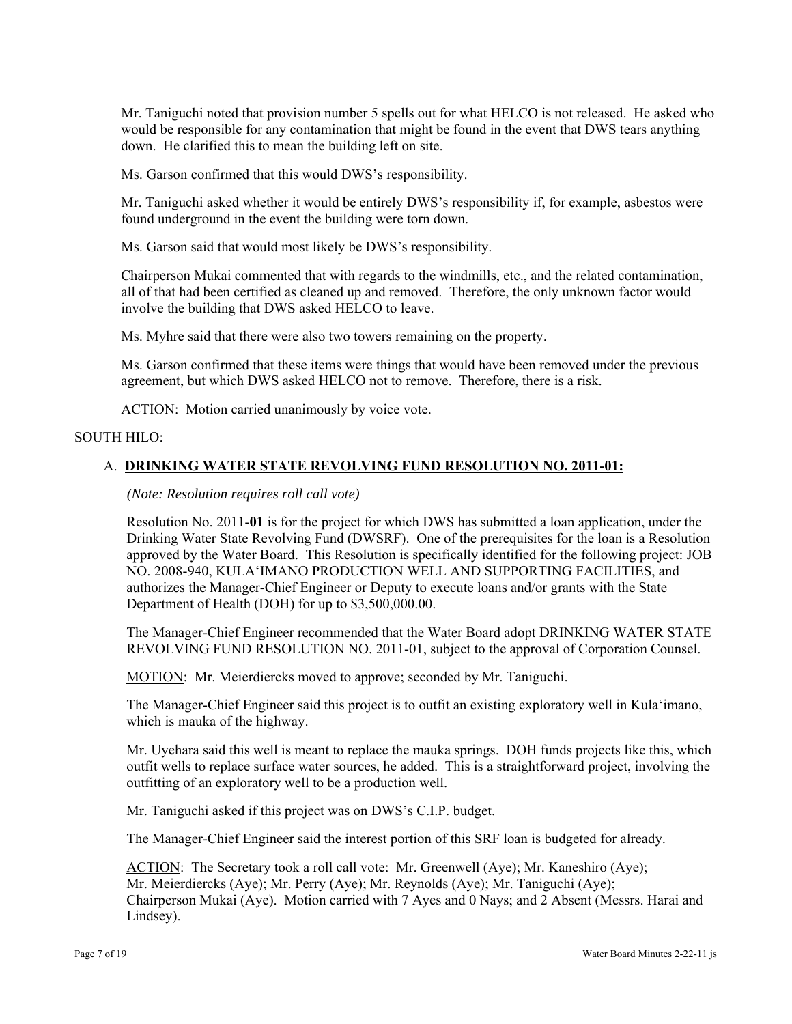Mr. Taniguchi noted that provision number 5 spells out for what HELCO is not released. He asked who would be responsible for any contamination that might be found in the event that DWS tears anything down. He clarified this to mean the building left on site.

Ms. Garson confirmed that this would DWS's responsibility.

Mr. Taniguchi asked whether it would be entirely DWS's responsibility if, for example, asbestos were found underground in the event the building were torn down.

Ms. Garson said that would most likely be DWS's responsibility.

Chairperson Mukai commented that with regards to the windmills, etc., and the related contamination, all of that had been certified as cleaned up and removed. Therefore, the only unknown factor would involve the building that DWS asked HELCO to leave.

Ms. Myhre said that there were also two towers remaining on the property.

Ms. Garson confirmed that these items were things that would have been removed under the previous agreement, but which DWS asked HELCO not to remove. Therefore, there is a risk.

ACTION: Motion carried unanimously by voice vote.

# SOUTH HILO:

# A. **DRINKING WATER STATE REVOLVING FUND RESOLUTION NO. 2011-01:**

*(Note: Resolution requires roll call vote)* 

Resolution No. 2011-**01** is for the project for which DWS has submitted a loan application, under the Drinking Water State Revolving Fund (DWSRF). One of the prerequisites for the loan is a Resolution approved by the Water Board. This Resolution is specifically identified for the following project: JOB NO. 2008-940, KULA'IMANO PRODUCTION WELL AND SUPPORTING FACILITIES, and authorizes the Manager-Chief Engineer or Deputy to execute loans and/or grants with the State Department of Health (DOH) for up to \$3,500,000.00.

The Manager-Chief Engineer recommended that the Water Board adopt DRINKING WATER STATE REVOLVING FUND RESOLUTION NO. 2011-01, subject to the approval of Corporation Counsel.

MOTION: Mr. Meierdiercks moved to approve; seconded by Mr. Taniguchi.

The Manager-Chief Engineer said this project is to outfit an existing exploratory well in Kula'imano, which is mauka of the highway.

Mr. Uyehara said this well is meant to replace the mauka springs. DOH funds projects like this, which outfit wells to replace surface water sources, he added. This is a straightforward project, involving the outfitting of an exploratory well to be a production well.

Mr. Taniguchi asked if this project was on DWS's C.I.P. budget.

The Manager-Chief Engineer said the interest portion of this SRF loan is budgeted for already.

ACTION: The Secretary took a roll call vote: Mr. Greenwell (Aye); Mr. Kaneshiro (Aye); Mr. Meierdiercks (Aye); Mr. Perry (Aye); Mr. Reynolds (Aye); Mr. Taniguchi (Aye); Chairperson Mukai (Aye). Motion carried with 7 Ayes and 0 Nays; and 2 Absent (Messrs. Harai and Lindsey).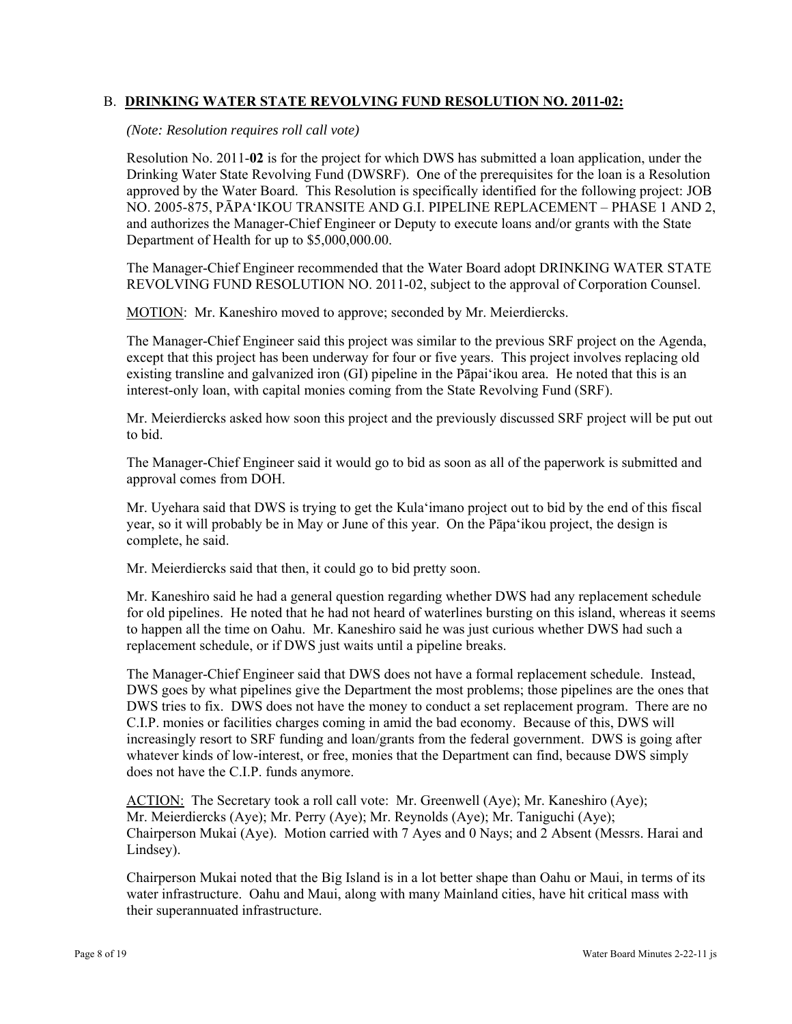## B. **DRINKING WATER STATE REVOLVING FUND RESOLUTION NO. 2011-02:**

*(Note: Resolution requires roll call vote)* 

Resolution No. 2011-**02** is for the project for which DWS has submitted a loan application, under the Drinking Water State Revolving Fund (DWSRF). One of the prerequisites for the loan is a Resolution approved by the Water Board. This Resolution is specifically identified for the following project: JOB NO. 2005-875, PĀPA'IKOU TRANSITE AND G.I. PIPELINE REPLACEMENT – PHASE 1 AND 2, and authorizes the Manager-Chief Engineer or Deputy to execute loans and/or grants with the State Department of Health for up to \$5,000,000.00.

The Manager-Chief Engineer recommended that the Water Board adopt DRINKING WATER STATE REVOLVING FUND RESOLUTION NO. 2011-02, subject to the approval of Corporation Counsel.

MOTION: Mr. Kaneshiro moved to approve; seconded by Mr. Meierdiercks.

The Manager-Chief Engineer said this project was similar to the previous SRF project on the Agenda, except that this project has been underway for four or five years. This project involves replacing old existing transline and galvanized iron (GI) pipeline in the Pāpai'ikou area. He noted that this is an interest-only loan, with capital monies coming from the State Revolving Fund (SRF).

Mr. Meierdiercks asked how soon this project and the previously discussed SRF project will be put out to bid.

The Manager-Chief Engineer said it would go to bid as soon as all of the paperwork is submitted and approval comes from DOH.

Mr. Uyehara said that DWS is trying to get the Kula'imano project out to bid by the end of this fiscal year, so it will probably be in May or June of this year. On the Pāpa'ikou project, the design is complete, he said.

Mr. Meierdiercks said that then, it could go to bid pretty soon.

Mr. Kaneshiro said he had a general question regarding whether DWS had any replacement schedule for old pipelines. He noted that he had not heard of waterlines bursting on this island, whereas it seems to happen all the time on Oahu. Mr. Kaneshiro said he was just curious whether DWS had such a replacement schedule, or if DWS just waits until a pipeline breaks.

The Manager-Chief Engineer said that DWS does not have a formal replacement schedule. Instead, DWS goes by what pipelines give the Department the most problems; those pipelines are the ones that DWS tries to fix. DWS does not have the money to conduct a set replacement program. There are no C.I.P. monies or facilities charges coming in amid the bad economy. Because of this, DWS will increasingly resort to SRF funding and loan/grants from the federal government. DWS is going after whatever kinds of low-interest, or free, monies that the Department can find, because DWS simply does not have the C.I.P. funds anymore.

ACTION: The Secretary took a roll call vote: Mr. Greenwell (Aye); Mr. Kaneshiro (Aye); Mr. Meierdiercks (Aye); Mr. Perry (Aye); Mr. Reynolds (Aye); Mr. Taniguchi (Aye); Chairperson Mukai (Aye). Motion carried with 7 Ayes and 0 Nays; and 2 Absent (Messrs. Harai and Lindsey).

Chairperson Mukai noted that the Big Island is in a lot better shape than Oahu or Maui, in terms of its water infrastructure. Oahu and Maui, along with many Mainland cities, have hit critical mass with their superannuated infrastructure.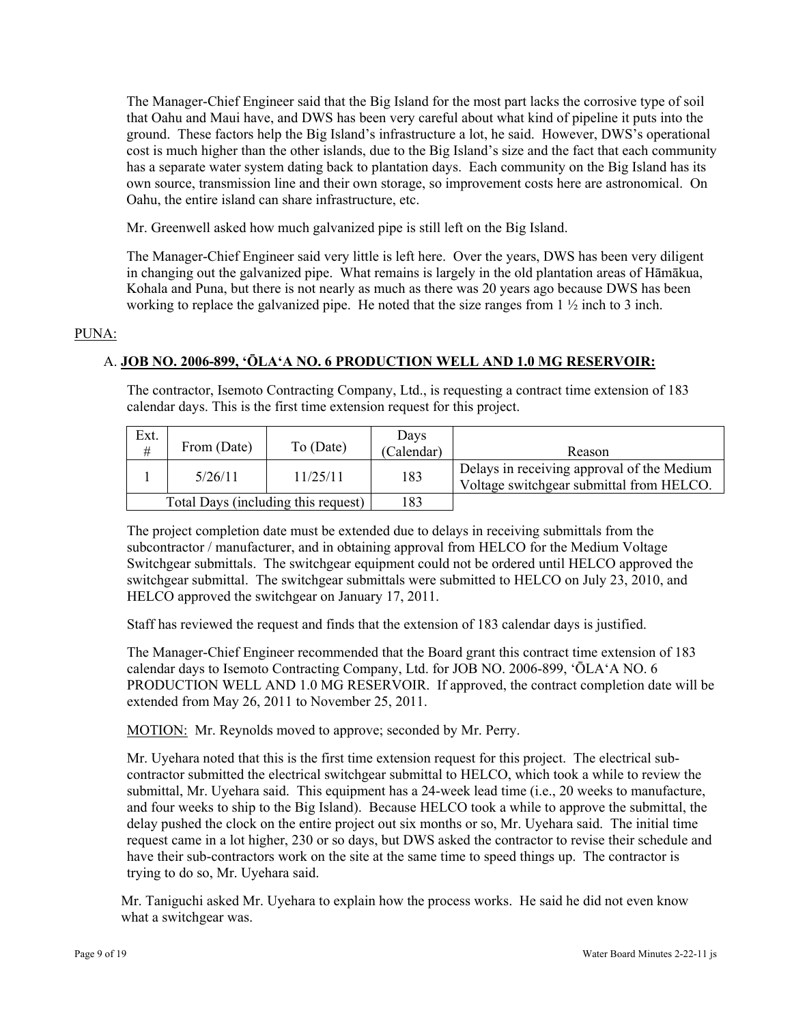The Manager-Chief Engineer said that the Big Island for the most part lacks the corrosive type of soil that Oahu and Maui have, and DWS has been very careful about what kind of pipeline it puts into the ground. These factors help the Big Island's infrastructure a lot, he said. However, DWS's operational cost is much higher than the other islands, due to the Big Island's size and the fact that each community has a separate water system dating back to plantation days. Each community on the Big Island has its own source, transmission line and their own storage, so improvement costs here are astronomical. On Oahu, the entire island can share infrastructure, etc.

Mr. Greenwell asked how much galvanized pipe is still left on the Big Island.

The Manager-Chief Engineer said very little is left here. Over the years, DWS has been very diligent in changing out the galvanized pipe. What remains is largely in the old plantation areas of Hāmākua, Kohala and Puna, but there is not nearly as much as there was 20 years ago because DWS has been working to replace the galvanized pipe. He noted that the size ranges from 1 ½ inch to 3 inch.

## PUNA:

# A. **JOB NO. 2006-899, 'ŌLA'A NO. 6 PRODUCTION WELL AND 1.0 MG RESERVOIR:**

The contractor, Isemoto Contracting Company, Ltd., is requesting a contract time extension of 183 calendar days. This is the first time extension request for this project.

| Ext.<br>#                           | From (Date) | To (Date) | Days<br>(Calendar) | Reason                                                                                 |
|-------------------------------------|-------------|-----------|--------------------|----------------------------------------------------------------------------------------|
|                                     | 5/26/11     | 11/25/11  | 183                | Delays in receiving approval of the Medium<br>Voltage switchgear submittal from HELCO. |
| Total Days (including this request) |             | 183       |                    |                                                                                        |

The project completion date must be extended due to delays in receiving submittals from the subcontractor / manufacturer, and in obtaining approval from HELCO for the Medium Voltage Switchgear submittals. The switchgear equipment could not be ordered until HELCO approved the switchgear submittal. The switchgear submittals were submitted to HELCO on July 23, 2010, and HELCO approved the switchgear on January 17, 2011.

Staff has reviewed the request and finds that the extension of 183 calendar days is justified.

The Manager-Chief Engineer recommended that the Board grant this contract time extension of 183 calendar days to Isemoto Contracting Company, Ltd. for JOB NO. 2006-899, 'ŌLA'A NO. 6 PRODUCTION WELL AND 1.0 MG RESERVOIR. If approved, the contract completion date will be extended from May 26, 2011 to November 25, 2011.

MOTION: Mr. Reynolds moved to approve; seconded by Mr. Perry.

Mr. Uyehara noted that this is the first time extension request for this project. The electrical subcontractor submitted the electrical switchgear submittal to HELCO, which took a while to review the submittal, Mr. Uyehara said. This equipment has a 24-week lead time (i.e., 20 weeks to manufacture, and four weeks to ship to the Big Island). Because HELCO took a while to approve the submittal, the delay pushed the clock on the entire project out six months or so, Mr. Uyehara said. The initial time request came in a lot higher, 230 or so days, but DWS asked the contractor to revise their schedule and have their sub-contractors work on the site at the same time to speed things up. The contractor is trying to do so, Mr. Uyehara said.

Mr. Taniguchi asked Mr. Uyehara to explain how the process works. He said he did not even know what a switchgear was.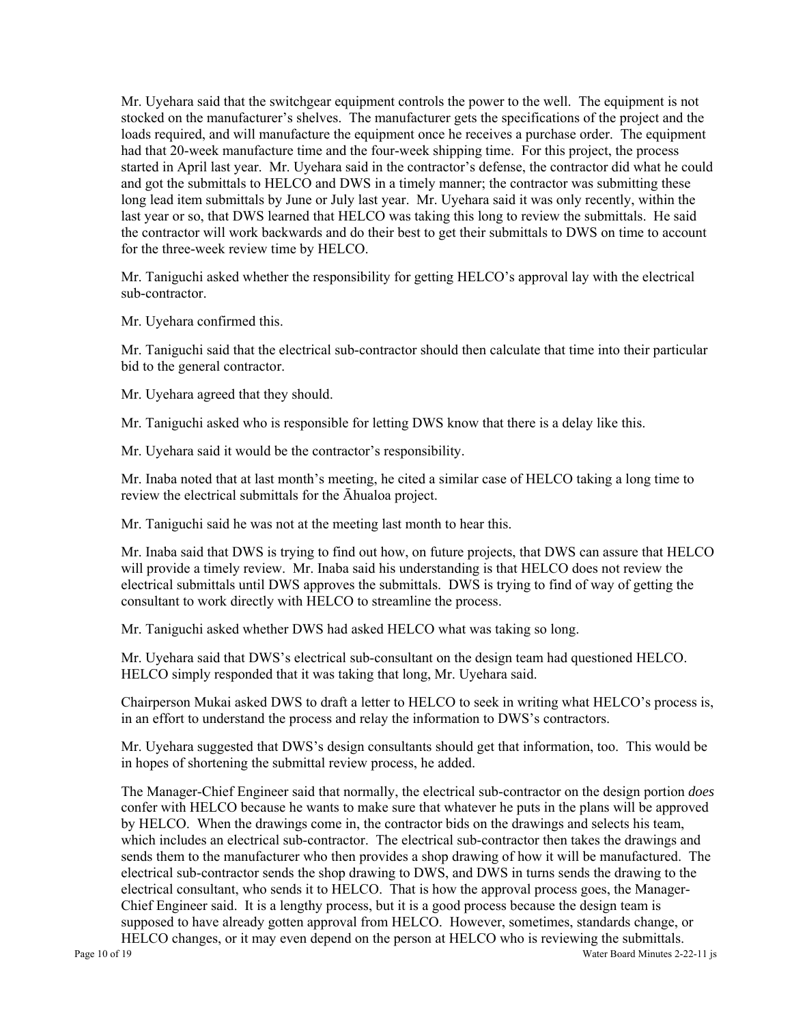Mr. Uyehara said that the switchgear equipment controls the power to the well. The equipment is not stocked on the manufacturer's shelves. The manufacturer gets the specifications of the project and the loads required, and will manufacture the equipment once he receives a purchase order. The equipment had that 20-week manufacture time and the four-week shipping time. For this project, the process started in April last year. Mr. Uyehara said in the contractor's defense, the contractor did what he could and got the submittals to HELCO and DWS in a timely manner; the contractor was submitting these long lead item submittals by June or July last year. Mr. Uyehara said it was only recently, within the last year or so, that DWS learned that HELCO was taking this long to review the submittals. He said the contractor will work backwards and do their best to get their submittals to DWS on time to account for the three-week review time by HELCO.

Mr. Taniguchi asked whether the responsibility for getting HELCO's approval lay with the electrical sub-contractor.

Mr. Uyehara confirmed this.

Mr. Taniguchi said that the electrical sub-contractor should then calculate that time into their particular bid to the general contractor.

Mr. Uyehara agreed that they should.

Mr. Taniguchi asked who is responsible for letting DWS know that there is a delay like this.

Mr. Uyehara said it would be the contractor's responsibility.

Mr. Inaba noted that at last month's meeting, he cited a similar case of HELCO taking a long time to review the electrical submittals for the Āhualoa project.

Mr. Taniguchi said he was not at the meeting last month to hear this.

Mr. Inaba said that DWS is trying to find out how, on future projects, that DWS can assure that HELCO will provide a timely review. Mr. Inaba said his understanding is that HELCO does not review the electrical submittals until DWS approves the submittals. DWS is trying to find of way of getting the consultant to work directly with HELCO to streamline the process.

Mr. Taniguchi asked whether DWS had asked HELCO what was taking so long.

Mr. Uyehara said that DWS's electrical sub-consultant on the design team had questioned HELCO. HELCO simply responded that it was taking that long, Mr. Uyehara said.

Chairperson Mukai asked DWS to draft a letter to HELCO to seek in writing what HELCO's process is, in an effort to understand the process and relay the information to DWS's contractors.

Mr. Uyehara suggested that DWS's design consultants should get that information, too. This would be in hopes of shortening the submittal review process, he added.

The Manager-Chief Engineer said that normally, the electrical sub-contractor on the design portion *does*  confer with HELCO because he wants to make sure that whatever he puts in the plans will be approved by HELCO. When the drawings come in, the contractor bids on the drawings and selects his team, which includes an electrical sub-contractor. The electrical sub-contractor then takes the drawings and sends them to the manufacturer who then provides a shop drawing of how it will be manufactured. The electrical sub-contractor sends the shop drawing to DWS, and DWS in turns sends the drawing to the electrical consultant, who sends it to HELCO. That is how the approval process goes, the Manager-Chief Engineer said. It is a lengthy process, but it is a good process because the design team is supposed to have already gotten approval from HELCO. However, sometimes, standards change, or HELCO changes, or it may even depend on the person at HELCO who is reviewing the submittals.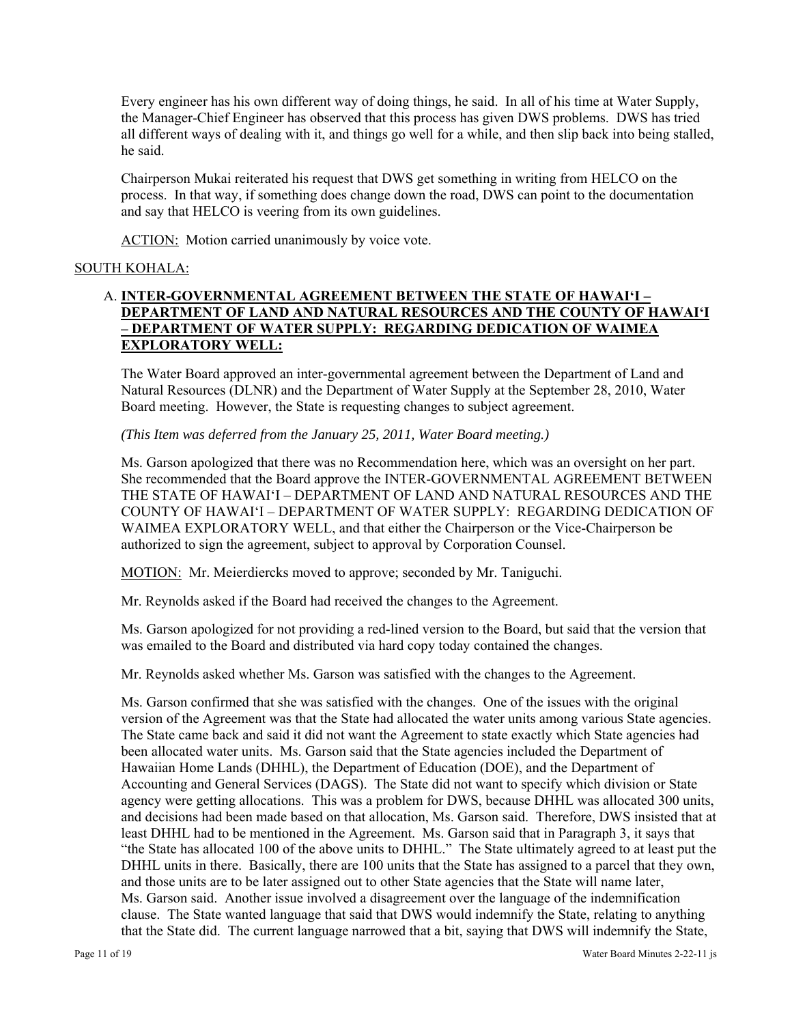Every engineer has his own different way of doing things, he said. In all of his time at Water Supply, the Manager-Chief Engineer has observed that this process has given DWS problems. DWS has tried all different ways of dealing with it, and things go well for a while, and then slip back into being stalled, he said.

Chairperson Mukai reiterated his request that DWS get something in writing from HELCO on the process. In that way, if something does change down the road, DWS can point to the documentation and say that HELCO is veering from its own guidelines.

ACTION: Motion carried unanimously by voice vote.

# SOUTH KOHALA:

# A. **INTER-GOVERNMENTAL AGREEMENT BETWEEN THE STATE OF HAWAI'I – DEPARTMENT OF LAND AND NATURAL RESOURCES AND THE COUNTY OF HAWAI'I – DEPARTMENT OF WATER SUPPLY: REGARDING DEDICATION OF WAIMEA EXPLORATORY WELL:**

The Water Board approved an inter-governmental agreement between the Department of Land and Natural Resources (DLNR) and the Department of Water Supply at the September 28, 2010, Water Board meeting. However, the State is requesting changes to subject agreement.

*(This Item was deferred from the January 25, 2011, Water Board meeting.)* 

Ms. Garson apologized that there was no Recommendation here, which was an oversight on her part. She recommended that the Board approve the INTER-GOVERNMENTAL AGREEMENT BETWEEN THE STATE OF HAWAI'I – DEPARTMENT OF LAND AND NATURAL RESOURCES AND THE COUNTY OF HAWAI'I – DEPARTMENT OF WATER SUPPLY: REGARDING DEDICATION OF WAIMEA EXPLORATORY WELL, and that either the Chairperson or the Vice-Chairperson be authorized to sign the agreement, subject to approval by Corporation Counsel.

MOTION: Mr. Meierdiercks moved to approve; seconded by Mr. Taniguchi.

Mr. Reynolds asked if the Board had received the changes to the Agreement.

Ms. Garson apologized for not providing a red-lined version to the Board, but said that the version that was emailed to the Board and distributed via hard copy today contained the changes.

Mr. Reynolds asked whether Ms. Garson was satisfied with the changes to the Agreement.

Ms. Garson confirmed that she was satisfied with the changes. One of the issues with the original version of the Agreement was that the State had allocated the water units among various State agencies. The State came back and said it did not want the Agreement to state exactly which State agencies had been allocated water units. Ms. Garson said that the State agencies included the Department of Hawaiian Home Lands (DHHL), the Department of Education (DOE), and the Department of Accounting and General Services (DAGS). The State did not want to specify which division or State agency were getting allocations. This was a problem for DWS, because DHHL was allocated 300 units, and decisions had been made based on that allocation, Ms. Garson said. Therefore, DWS insisted that at least DHHL had to be mentioned in the Agreement. Ms. Garson said that in Paragraph 3, it says that "the State has allocated 100 of the above units to DHHL." The State ultimately agreed to at least put the DHHL units in there. Basically, there are 100 units that the State has assigned to a parcel that they own, and those units are to be later assigned out to other State agencies that the State will name later, Ms. Garson said. Another issue involved a disagreement over the language of the indemnification clause. The State wanted language that said that DWS would indemnify the State, relating to anything that the State did. The current language narrowed that a bit, saying that DWS will indemnify the State,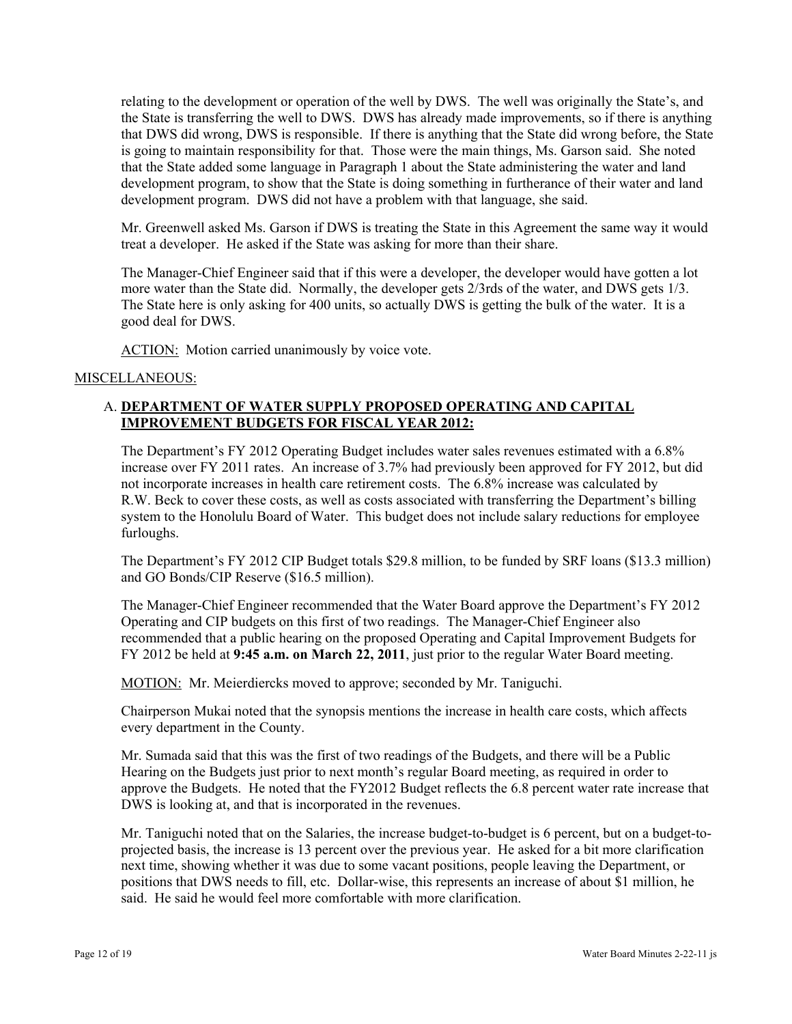relating to the development or operation of the well by DWS. The well was originally the State's, and the State is transferring the well to DWS. DWS has already made improvements, so if there is anything that DWS did wrong, DWS is responsible. If there is anything that the State did wrong before, the State is going to maintain responsibility for that. Those were the main things, Ms. Garson said. She noted that the State added some language in Paragraph 1 about the State administering the water and land development program, to show that the State is doing something in furtherance of their water and land development program. DWS did not have a problem with that language, she said.

Mr. Greenwell asked Ms. Garson if DWS is treating the State in this Agreement the same way it would treat a developer. He asked if the State was asking for more than their share.

The Manager-Chief Engineer said that if this were a developer, the developer would have gotten a lot more water than the State did. Normally, the developer gets 2/3rds of the water, and DWS gets 1/3. The State here is only asking for 400 units, so actually DWS is getting the bulk of the water. It is a good deal for DWS.

ACTION: Motion carried unanimously by voice vote.

#### MISCELLANEOUS:

# A. **DEPARTMENT OF WATER SUPPLY PROPOSED OPERATING AND CAPITAL IMPROVEMENT BUDGETS FOR FISCAL YEAR 2012:**

The Department's FY 2012 Operating Budget includes water sales revenues estimated with a 6.8% increase over FY 2011 rates. An increase of 3.7% had previously been approved for FY 2012, but did not incorporate increases in health care retirement costs. The 6.8% increase was calculated by R.W. Beck to cover these costs, as well as costs associated with transferring the Department's billing system to the Honolulu Board of Water. This budget does not include salary reductions for employee furloughs.

The Department's FY 2012 CIP Budget totals \$29.8 million, to be funded by SRF loans (\$13.3 million) and GO Bonds/CIP Reserve (\$16.5 million).

The Manager-Chief Engineer recommended that the Water Board approve the Department's FY 2012 Operating and CIP budgets on this first of two readings. The Manager-Chief Engineer also recommended that a public hearing on the proposed Operating and Capital Improvement Budgets for FY 2012 be held at **9:45 a.m. on March 22, 2011**, just prior to the regular Water Board meeting.

MOTION: Mr. Meierdiercks moved to approve; seconded by Mr. Taniguchi.

Chairperson Mukai noted that the synopsis mentions the increase in health care costs, which affects every department in the County.

Mr. Sumada said that this was the first of two readings of the Budgets, and there will be a Public Hearing on the Budgets just prior to next month's regular Board meeting, as required in order to approve the Budgets. He noted that the FY2012 Budget reflects the 6.8 percent water rate increase that DWS is looking at, and that is incorporated in the revenues.

Mr. Taniguchi noted that on the Salaries, the increase budget-to-budget is 6 percent, but on a budget-toprojected basis, the increase is 13 percent over the previous year. He asked for a bit more clarification next time, showing whether it was due to some vacant positions, people leaving the Department, or positions that DWS needs to fill, etc. Dollar-wise, this represents an increase of about \$1 million, he said. He said he would feel more comfortable with more clarification.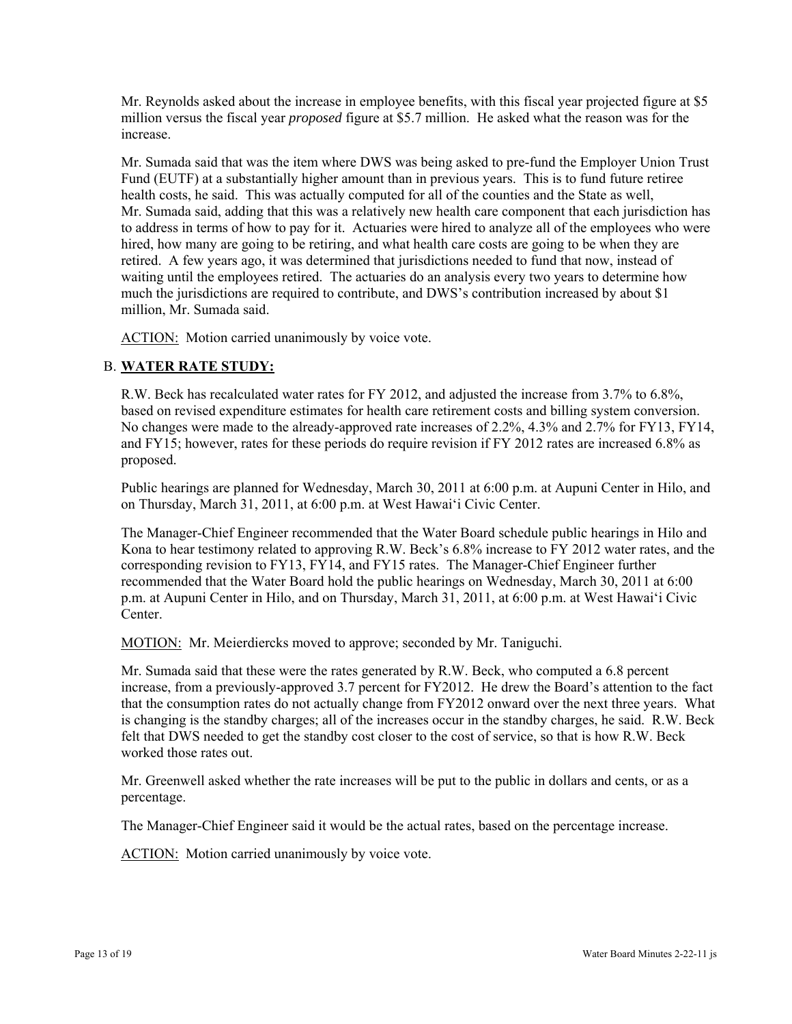Mr. Reynolds asked about the increase in employee benefits, with this fiscal year projected figure at \$5 million versus the fiscal year *proposed* figure at \$5.7 million. He asked what the reason was for the increase.

Mr. Sumada said that was the item where DWS was being asked to pre-fund the Employer Union Trust Fund (EUTF) at a substantially higher amount than in previous years. This is to fund future retiree health costs, he said. This was actually computed for all of the counties and the State as well, Mr. Sumada said, adding that this was a relatively new health care component that each jurisdiction has to address in terms of how to pay for it. Actuaries were hired to analyze all of the employees who were hired, how many are going to be retiring, and what health care costs are going to be when they are retired. A few years ago, it was determined that jurisdictions needed to fund that now, instead of waiting until the employees retired. The actuaries do an analysis every two years to determine how much the jurisdictions are required to contribute, and DWS's contribution increased by about \$1 million, Mr. Sumada said.

ACTION: Motion carried unanimously by voice vote.

# B. **WATER RATE STUDY:**

R.W. Beck has recalculated water rates for FY 2012, and adjusted the increase from 3.7% to 6.8%, based on revised expenditure estimates for health care retirement costs and billing system conversion. No changes were made to the already-approved rate increases of 2.2%, 4.3% and 2.7% for FY13, FY14, and FY15; however, rates for these periods do require revision if FY 2012 rates are increased 6.8% as proposed.

Public hearings are planned for Wednesday, March 30, 2011 at 6:00 p.m. at Aupuni Center in Hilo, and on Thursday, March 31, 2011, at 6:00 p.m. at West Hawai'i Civic Center.

The Manager-Chief Engineer recommended that the Water Board schedule public hearings in Hilo and Kona to hear testimony related to approving R.W. Beck's 6.8% increase to FY 2012 water rates, and the corresponding revision to FY13, FY14, and FY15 rates. The Manager-Chief Engineer further recommended that the Water Board hold the public hearings on Wednesday, March 30, 2011 at 6:00 p.m. at Aupuni Center in Hilo, and on Thursday, March 31, 2011, at 6:00 p.m. at West Hawai'i Civic Center.

MOTION: Mr. Meierdiercks moved to approve; seconded by Mr. Taniguchi.

Mr. Sumada said that these were the rates generated by R.W. Beck, who computed a 6.8 percent increase, from a previously-approved 3.7 percent for FY2012. He drew the Board's attention to the fact that the consumption rates do not actually change from FY2012 onward over the next three years. What is changing is the standby charges; all of the increases occur in the standby charges, he said. R.W. Beck felt that DWS needed to get the standby cost closer to the cost of service, so that is how R.W. Beck worked those rates out.

Mr. Greenwell asked whether the rate increases will be put to the public in dollars and cents, or as a percentage.

The Manager-Chief Engineer said it would be the actual rates, based on the percentage increase.

ACTION: Motion carried unanimously by voice vote.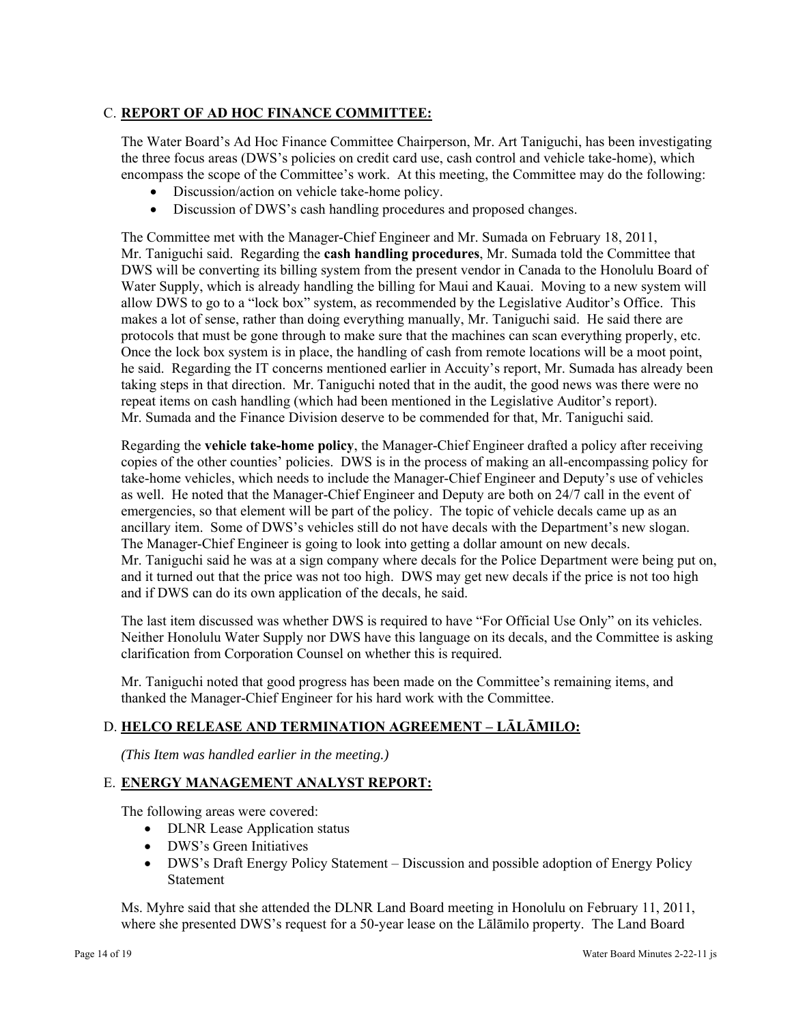# C. **REPORT OF AD HOC FINANCE COMMITTEE:**

The Water Board's Ad Hoc Finance Committee Chairperson, Mr. Art Taniguchi, has been investigating the three focus areas (DWS's policies on credit card use, cash control and vehicle take-home), which encompass the scope of the Committee's work. At this meeting, the Committee may do the following:

- Discussion/action on vehicle take-home policy.
- Discussion of DWS's cash handling procedures and proposed changes.

The Committee met with the Manager-Chief Engineer and Mr. Sumada on February 18, 2011, Mr. Taniguchi said. Regarding the **cash handling procedures**, Mr. Sumada told the Committee that DWS will be converting its billing system from the present vendor in Canada to the Honolulu Board of Water Supply, which is already handling the billing for Maui and Kauai. Moving to a new system will allow DWS to go to a "lock box" system, as recommended by the Legislative Auditor's Office. This makes a lot of sense, rather than doing everything manually, Mr. Taniguchi said. He said there are protocols that must be gone through to make sure that the machines can scan everything properly, etc. Once the lock box system is in place, the handling of cash from remote locations will be a moot point, he said. Regarding the IT concerns mentioned earlier in Accuity's report, Mr. Sumada has already been taking steps in that direction. Mr. Taniguchi noted that in the audit, the good news was there were no repeat items on cash handling (which had been mentioned in the Legislative Auditor's report). Mr. Sumada and the Finance Division deserve to be commended for that, Mr. Taniguchi said.

Regarding the **vehicle take-home policy**, the Manager-Chief Engineer drafted a policy after receiving copies of the other counties' policies. DWS is in the process of making an all-encompassing policy for take-home vehicles, which needs to include the Manager-Chief Engineer and Deputy's use of vehicles as well. He noted that the Manager-Chief Engineer and Deputy are both on 24/7 call in the event of emergencies, so that element will be part of the policy. The topic of vehicle decals came up as an ancillary item. Some of DWS's vehicles still do not have decals with the Department's new slogan. The Manager-Chief Engineer is going to look into getting a dollar amount on new decals. Mr. Taniguchi said he was at a sign company where decals for the Police Department were being put on, and it turned out that the price was not too high. DWS may get new decals if the price is not too high and if DWS can do its own application of the decals, he said.

The last item discussed was whether DWS is required to have "For Official Use Only" on its vehicles. Neither Honolulu Water Supply nor DWS have this language on its decals, and the Committee is asking clarification from Corporation Counsel on whether this is required.

Mr. Taniguchi noted that good progress has been made on the Committee's remaining items, and thanked the Manager-Chief Engineer for his hard work with the Committee.

# D. **HELCO RELEASE AND TERMINATION AGREEMENT – LĀLĀMILO:**

*(This Item was handled earlier in the meeting.)* 

# E. **ENERGY MANAGEMENT ANALYST REPORT:**

The following areas were covered:

- DLNR Lease Application status
- DWS's Green Initiatives
- DWS's Draft Energy Policy Statement Discussion and possible adoption of Energy Policy Statement

Ms. Myhre said that she attended the DLNR Land Board meeting in Honolulu on February 11, 2011, where she presented DWS's request for a 50-year lease on the Lālāmilo property. The Land Board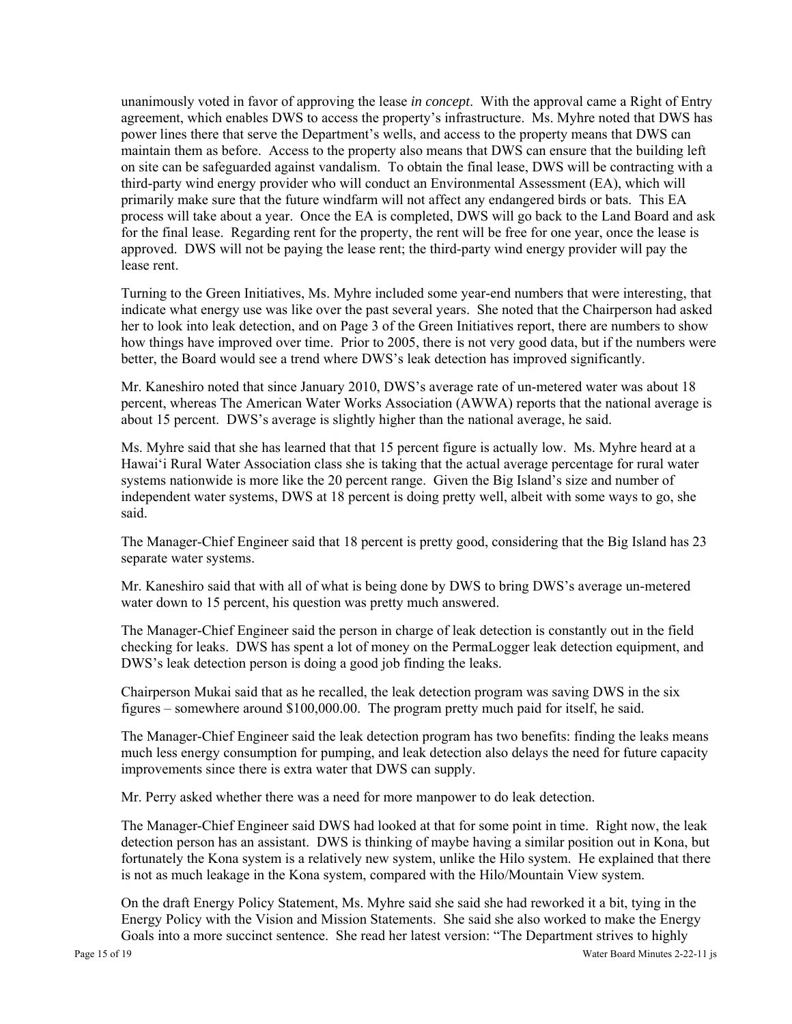unanimously voted in favor of approving the lease *in concept*. With the approval came a Right of Entry agreement, which enables DWS to access the property's infrastructure. Ms. Myhre noted that DWS has power lines there that serve the Department's wells, and access to the property means that DWS can maintain them as before. Access to the property also means that DWS can ensure that the building left on site can be safeguarded against vandalism. To obtain the final lease, DWS will be contracting with a third-party wind energy provider who will conduct an Environmental Assessment (EA), which will primarily make sure that the future windfarm will not affect any endangered birds or bats. This EA process will take about a year. Once the EA is completed, DWS will go back to the Land Board and ask for the final lease. Regarding rent for the property, the rent will be free for one year, once the lease is approved. DWS will not be paying the lease rent; the third-party wind energy provider will pay the lease rent.

Turning to the Green Initiatives, Ms. Myhre included some year-end numbers that were interesting, that indicate what energy use was like over the past several years. She noted that the Chairperson had asked her to look into leak detection, and on Page 3 of the Green Initiatives report, there are numbers to show how things have improved over time. Prior to 2005, there is not very good data, but if the numbers were better, the Board would see a trend where DWS's leak detection has improved significantly.

Mr. Kaneshiro noted that since January 2010, DWS's average rate of un-metered water was about 18 percent, whereas The American Water Works Association (AWWA) reports that the national average is about 15 percent. DWS's average is slightly higher than the national average, he said.

Ms. Myhre said that she has learned that that 15 percent figure is actually low. Ms. Myhre heard at a Hawai'i Rural Water Association class she is taking that the actual average percentage for rural water systems nationwide is more like the 20 percent range. Given the Big Island's size and number of independent water systems, DWS at 18 percent is doing pretty well, albeit with some ways to go, she said.

The Manager-Chief Engineer said that 18 percent is pretty good, considering that the Big Island has 23 separate water systems.

Mr. Kaneshiro said that with all of what is being done by DWS to bring DWS's average un-metered water down to 15 percent, his question was pretty much answered.

The Manager-Chief Engineer said the person in charge of leak detection is constantly out in the field checking for leaks. DWS has spent a lot of money on the PermaLogger leak detection equipment, and DWS's leak detection person is doing a good job finding the leaks.

Chairperson Mukai said that as he recalled, the leak detection program was saving DWS in the six figures – somewhere around \$100,000.00. The program pretty much paid for itself, he said.

The Manager-Chief Engineer said the leak detection program has two benefits: finding the leaks means much less energy consumption for pumping, and leak detection also delays the need for future capacity improvements since there is extra water that DWS can supply.

Mr. Perry asked whether there was a need for more manpower to do leak detection.

The Manager-Chief Engineer said DWS had looked at that for some point in time. Right now, the leak detection person has an assistant. DWS is thinking of maybe having a similar position out in Kona, but fortunately the Kona system is a relatively new system, unlike the Hilo system. He explained that there is not as much leakage in the Kona system, compared with the Hilo/Mountain View system.

On the draft Energy Policy Statement, Ms. Myhre said she said she had reworked it a bit, tying in the Energy Policy with the Vision and Mission Statements. She said she also worked to make the Energy Goals into a more succinct sentence. She read her latest version: "The Department strives to highly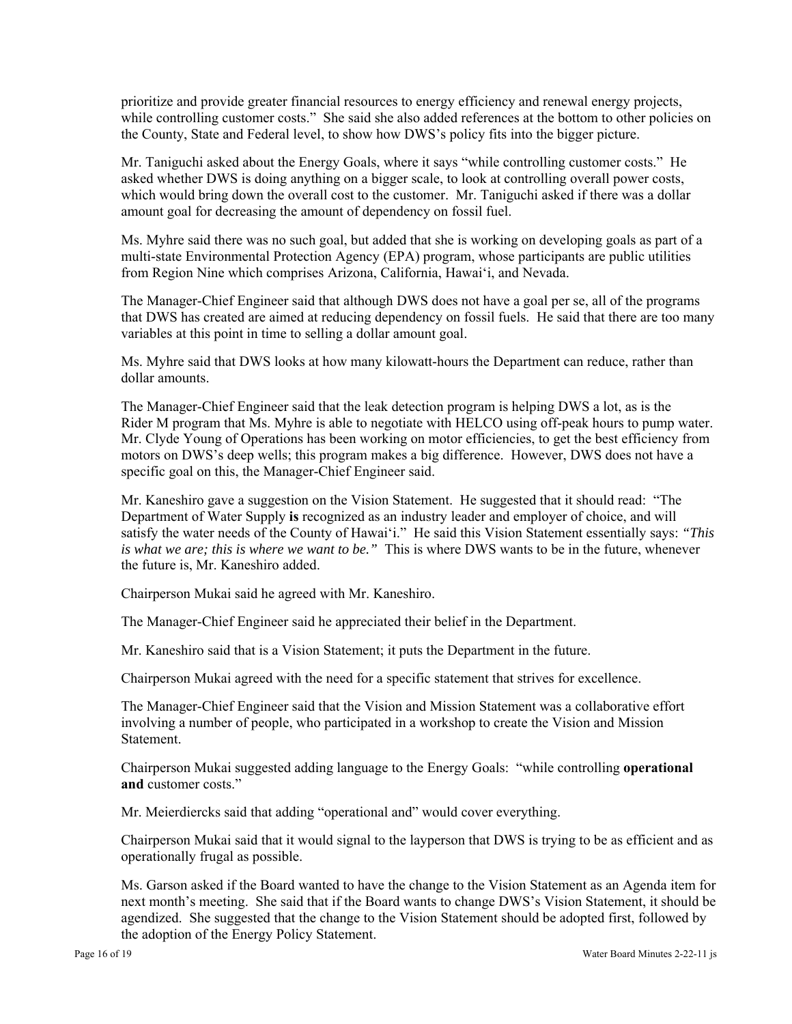prioritize and provide greater financial resources to energy efficiency and renewal energy projects, while controlling customer costs." She said she also added references at the bottom to other policies on the County, State and Federal level, to show how DWS's policy fits into the bigger picture.

Mr. Taniguchi asked about the Energy Goals, where it says "while controlling customer costs." He asked whether DWS is doing anything on a bigger scale, to look at controlling overall power costs, which would bring down the overall cost to the customer. Mr. Taniguchi asked if there was a dollar amount goal for decreasing the amount of dependency on fossil fuel.

Ms. Myhre said there was no such goal, but added that she is working on developing goals as part of a multi-state Environmental Protection Agency (EPA) program, whose participants are public utilities from Region Nine which comprises Arizona, California, Hawai'i, and Nevada.

The Manager-Chief Engineer said that although DWS does not have a goal per se, all of the programs that DWS has created are aimed at reducing dependency on fossil fuels. He said that there are too many variables at this point in time to selling a dollar amount goal.

Ms. Myhre said that DWS looks at how many kilowatt-hours the Department can reduce, rather than dollar amounts.

The Manager-Chief Engineer said that the leak detection program is helping DWS a lot, as is the Rider M program that Ms. Myhre is able to negotiate with HELCO using off-peak hours to pump water. Mr. Clyde Young of Operations has been working on motor efficiencies, to get the best efficiency from motors on DWS's deep wells; this program makes a big difference. However, DWS does not have a specific goal on this, the Manager-Chief Engineer said.

Mr. Kaneshiro gave a suggestion on the Vision Statement. He suggested that it should read: "The Department of Water Supply **is** recognized as an industry leader and employer of choice, and will satisfy the water needs of the County of Hawai'i." He said this Vision Statement essentially says: *"This is what we are; this is where we want to be."* This is where DWS wants to be in the future, whenever the future is, Mr. Kaneshiro added.

Chairperson Mukai said he agreed with Mr. Kaneshiro.

The Manager-Chief Engineer said he appreciated their belief in the Department.

Mr. Kaneshiro said that is a Vision Statement; it puts the Department in the future.

Chairperson Mukai agreed with the need for a specific statement that strives for excellence.

The Manager-Chief Engineer said that the Vision and Mission Statement was a collaborative effort involving a number of people, who participated in a workshop to create the Vision and Mission **Statement** 

Chairperson Mukai suggested adding language to the Energy Goals: "while controlling **operational and** customer costs."

Mr. Meierdiercks said that adding "operational and" would cover everything.

Chairperson Mukai said that it would signal to the layperson that DWS is trying to be as efficient and as operationally frugal as possible.

Ms. Garson asked if the Board wanted to have the change to the Vision Statement as an Agenda item for next month's meeting. She said that if the Board wants to change DWS's Vision Statement, it should be agendized. She suggested that the change to the Vision Statement should be adopted first, followed by the adoption of the Energy Policy Statement.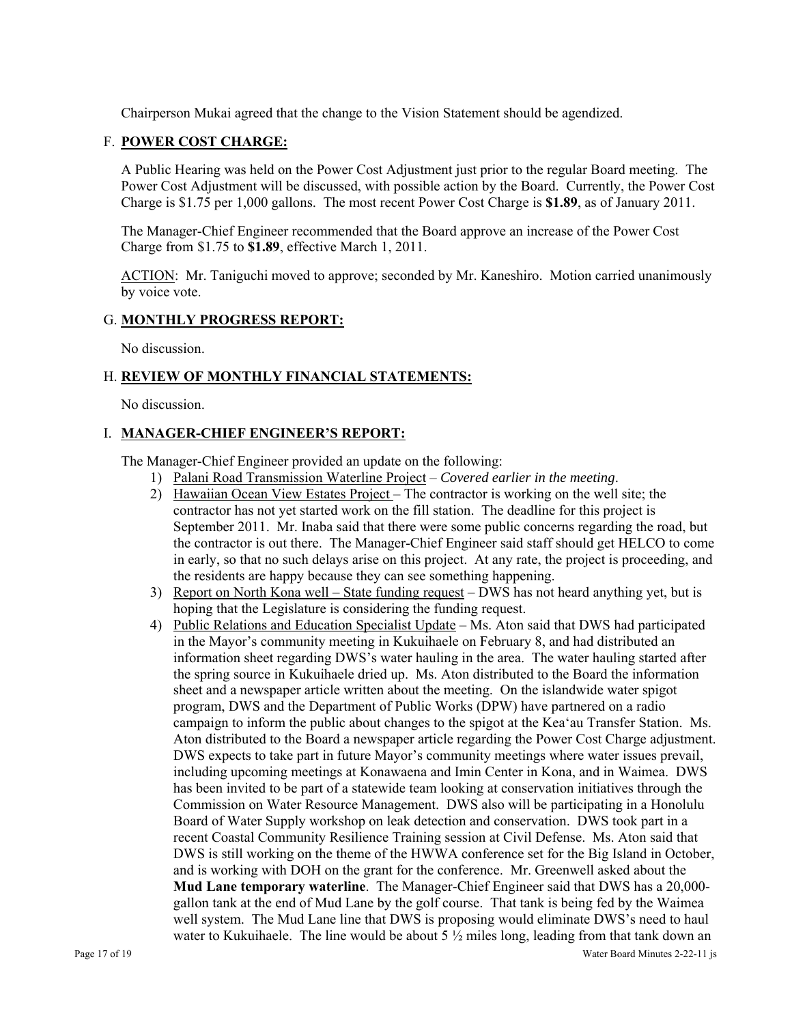Chairperson Mukai agreed that the change to the Vision Statement should be agendized.

# F. **POWER COST CHARGE:**

A Public Hearing was held on the Power Cost Adjustment just prior to the regular Board meeting. The Power Cost Adjustment will be discussed, with possible action by the Board. Currently, the Power Cost Charge is \$1.75 per 1,000 gallons. The most recent Power Cost Charge is **\$1.89**, as of January 2011.

The Manager-Chief Engineer recommended that the Board approve an increase of the Power Cost Charge from \$1.75 to **\$1.89**, effective March 1, 2011.

ACTION: Mr. Taniguchi moved to approve; seconded by Mr. Kaneshiro. Motion carried unanimously by voice vote.

## G. **MONTHLY PROGRESS REPORT:**

No discussion.

# H. **REVIEW OF MONTHLY FINANCIAL STATEMENTS:**

No discussion.

# I. **MANAGER-CHIEF ENGINEER'S REPORT:**

The Manager-Chief Engineer provided an update on the following:

- 1) Palani Road Transmission Waterline Project *Covered earlier in the meeting*.
- 2) Hawaiian Ocean View Estates Project The contractor is working on the well site; the contractor has not yet started work on the fill station. The deadline for this project is September 2011. Mr. Inaba said that there were some public concerns regarding the road, but the contractor is out there. The Manager-Chief Engineer said staff should get HELCO to come in early, so that no such delays arise on this project. At any rate, the project is proceeding, and the residents are happy because they can see something happening.
- 3) Report on North Kona well State funding request DWS has not heard anything yet, but is hoping that the Legislature is considering the funding request.
- Page 17 of 19 Water Board Minutes 2-22-11 js 4) Public Relations and Education Specialist Update – Ms. Aton said that DWS had participated in the Mayor's community meeting in Kukuihaele on February 8, and had distributed an information sheet regarding DWS's water hauling in the area. The water hauling started after the spring source in Kukuihaele dried up. Ms. Aton distributed to the Board the information sheet and a newspaper article written about the meeting. On the islandwide water spigot program, DWS and the Department of Public Works (DPW) have partnered on a radio campaign to inform the public about changes to the spigot at the Kea'au Transfer Station. Ms. Aton distributed to the Board a newspaper article regarding the Power Cost Charge adjustment. DWS expects to take part in future Mayor's community meetings where water issues prevail, including upcoming meetings at Konawaena and Imin Center in Kona, and in Waimea. DWS has been invited to be part of a statewide team looking at conservation initiatives through the Commission on Water Resource Management. DWS also will be participating in a Honolulu Board of Water Supply workshop on leak detection and conservation. DWS took part in a recent Coastal Community Resilience Training session at Civil Defense. Ms. Aton said that DWS is still working on the theme of the HWWA conference set for the Big Island in October, and is working with DOH on the grant for the conference. Mr. Greenwell asked about the **Mud Lane temporary waterline**. The Manager-Chief Engineer said that DWS has a 20,000 gallon tank at the end of Mud Lane by the golf course. That tank is being fed by the Waimea well system. The Mud Lane line that DWS is proposing would eliminate DWS's need to haul water to Kukuihaele. The line would be about 5  $\frac{1}{2}$  miles long, leading from that tank down an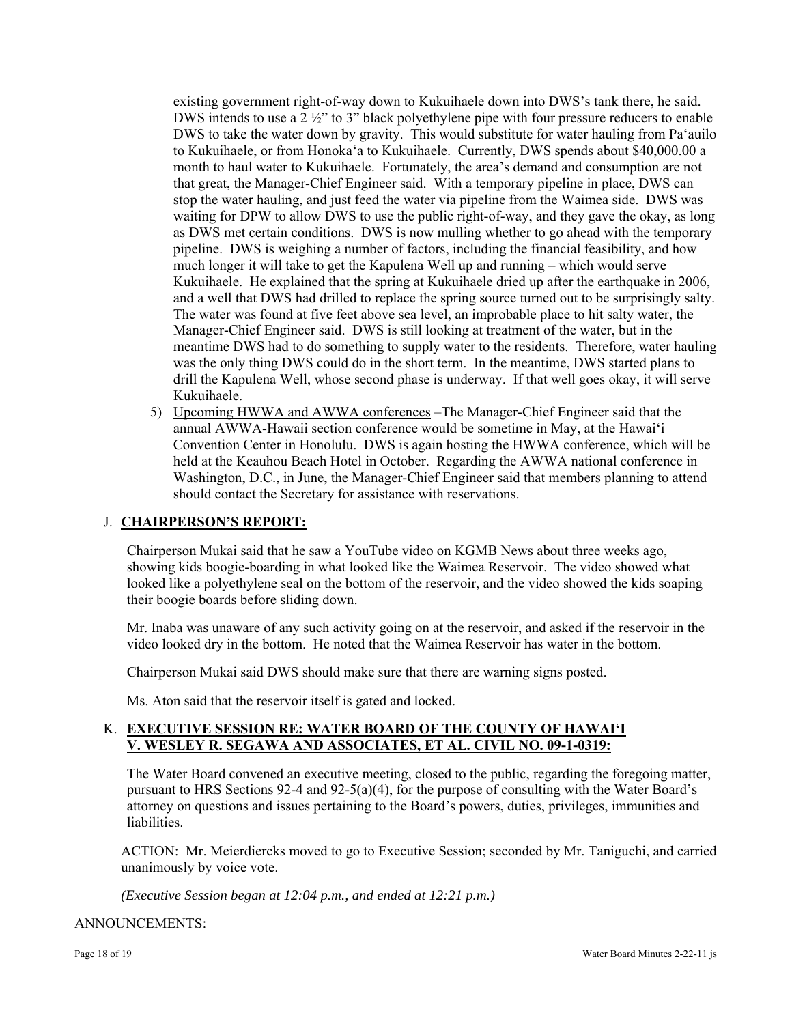existing government right-of-way down to Kukuihaele down into DWS's tank there, he said. DWS intends to use a 2  $\frac{1}{2}$  to 3" black polyethylene pipe with four pressure reducers to enable DWS to take the water down by gravity. This would substitute for water hauling from Pa'auilo to Kukuihaele, or from Honoka'a to Kukuihaele. Currently, DWS spends about \$40,000.00 a month to haul water to Kukuihaele. Fortunately, the area's demand and consumption are not that great, the Manager-Chief Engineer said. With a temporary pipeline in place, DWS can stop the water hauling, and just feed the water via pipeline from the Waimea side. DWS was waiting for DPW to allow DWS to use the public right-of-way, and they gave the okay, as long as DWS met certain conditions. DWS is now mulling whether to go ahead with the temporary pipeline. DWS is weighing a number of factors, including the financial feasibility, and how much longer it will take to get the Kapulena Well up and running – which would serve Kukuihaele. He explained that the spring at Kukuihaele dried up after the earthquake in 2006, and a well that DWS had drilled to replace the spring source turned out to be surprisingly salty. The water was found at five feet above sea level, an improbable place to hit salty water, the Manager-Chief Engineer said. DWS is still looking at treatment of the water, but in the meantime DWS had to do something to supply water to the residents. Therefore, water hauling was the only thing DWS could do in the short term. In the meantime, DWS started plans to drill the Kapulena Well, whose second phase is underway. If that well goes okay, it will serve Kukuihaele.

5) Upcoming HWWA and AWWA conferences – The Manager-Chief Engineer said that the annual AWWA-Hawaii section conference would be sometime in May, at the Hawai'i Convention Center in Honolulu. DWS is again hosting the HWWA conference, which will be held at the Keauhou Beach Hotel in October. Regarding the AWWA national conference in Washington, D.C., in June, the Manager-Chief Engineer said that members planning to attend should contact the Secretary for assistance with reservations.

## J. **CHAIRPERSON'S REPORT:**

Chairperson Mukai said that he saw a YouTube video on KGMB News about three weeks ago, showing kids boogie-boarding in what looked like the Waimea Reservoir. The video showed what looked like a polyethylene seal on the bottom of the reservoir, and the video showed the kids soaping their boogie boards before sliding down.

Mr. Inaba was unaware of any such activity going on at the reservoir, and asked if the reservoir in the video looked dry in the bottom. He noted that the Waimea Reservoir has water in the bottom.

Chairperson Mukai said DWS should make sure that there are warning signs posted.

Ms. Aton said that the reservoir itself is gated and locked.

## K. **EXECUTIVE SESSION RE: WATER BOARD OF THE COUNTY OF HAWAI'I V. WESLEY R. SEGAWA AND ASSOCIATES, ET AL. CIVIL NO. 09-1-0319:**

The Water Board convened an executive meeting, closed to the public, regarding the foregoing matter, pursuant to HRS Sections 92-4 and 92-5(a)(4), for the purpose of consulting with the Water Board's attorney on questions and issues pertaining to the Board's powers, duties, privileges, immunities and liabilities.

ACTION: Mr. Meierdiercks moved to go to Executive Session; seconded by Mr. Taniguchi, and carried unanimously by voice vote.

*(Executive Session began at 12:04 p.m., and ended at 12:21 p.m.)* 

## ANNOUNCEMENTS: